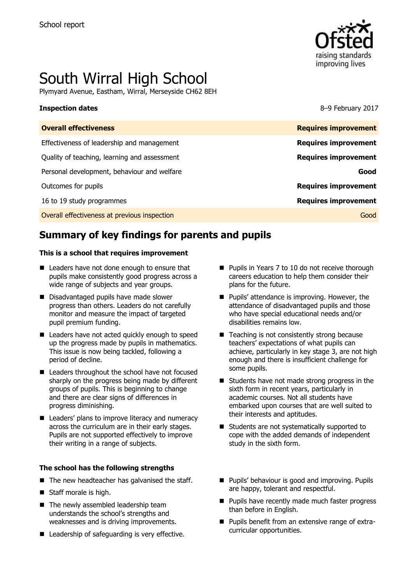

# South Wirral High School

Plymyard Avenue, Eastham, Wirral, Merseyside CH62 8EH

**Inspection dates** 8–9 February 2017

| <b>Overall effectiveness</b>                 | <b>Requires improvement</b> |
|----------------------------------------------|-----------------------------|
| Effectiveness of leadership and management   | <b>Requires improvement</b> |
| Quality of teaching, learning and assessment | <b>Requires improvement</b> |
| Personal development, behaviour and welfare  | Good                        |
| Outcomes for pupils                          | <b>Requires improvement</b> |
| 16 to 19 study programmes                    | <b>Requires improvement</b> |
| Overall effectiveness at previous inspection | Good                        |
|                                              |                             |

# **Summary of key findings for parents and pupils**

### **This is a school that requires improvement**

- Leaders have not done enough to ensure that pupils make consistently good progress across a wide range of subjects and year groups.
- Disadvantaged pupils have made slower progress than others. Leaders do not carefully monitor and measure the impact of targeted pupil premium funding.
- Leaders have not acted quickly enough to speed up the progress made by pupils in mathematics. This issue is now being tackled, following a period of decline.
- Leaders throughout the school have not focused sharply on the progress being made by different groups of pupils. This is beginning to change and there are clear signs of differences in progress diminishing.
- Leaders' plans to improve literacy and numeracy across the curriculum are in their early stages. Pupils are not supported effectively to improve their writing in a range of subjects.

### **The school has the following strengths**

- $\blacksquare$  The new headteacher has galvanised the staff.
- Staff morale is high.
- $\blacksquare$  The newly assembled leadership team understands the school's strengths and weaknesses and is driving improvements.
- Leadership of safeguarding is very effective.
- Pupils in Years 7 to 10 do not receive thorough careers education to help them consider their plans for the future.
- **Pupils' attendance is improving. However, the** attendance of disadvantaged pupils and those who have special educational needs and/or disabilities remains low.
- $\blacksquare$  Teaching is not consistently strong because teachers' expectations of what pupils can achieve, particularly in key stage 3, are not high enough and there is insufficient challenge for some pupils.
- Students have not made strong progress in the sixth form in recent years, particularly in academic courses. Not all students have embarked upon courses that are well suited to their interests and aptitudes.
- Students are not systematically supported to cope with the added demands of independent study in the sixth form.
- **Pupils' behaviour is good and improving. Pupils** are happy, tolerant and respectful.
- **Pupils have recently made much faster progress** than before in English.
- **Pupils benefit from an extensive range of extra**curricular opportunities.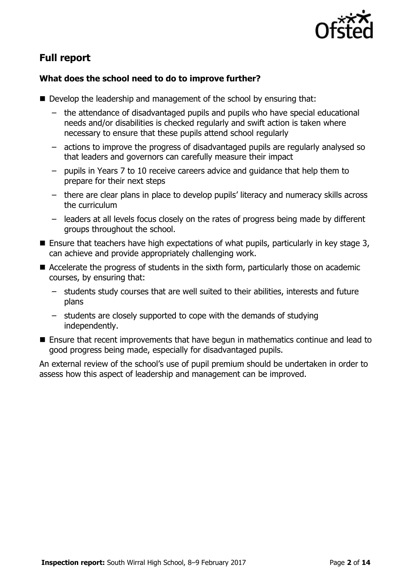

# **Full report**

### **What does the school need to do to improve further?**

- Develop the leadership and management of the school by ensuring that:
	- the attendance of disadvantaged pupils and pupils who have special educational needs and/or disabilities is checked regularly and swift action is taken where necessary to ensure that these pupils attend school regularly
	- actions to improve the progress of disadvantaged pupils are regularly analysed so that leaders and governors can carefully measure their impact
	- pupils in Years 7 to 10 receive careers advice and guidance that help them to prepare for their next steps
	- there are clear plans in place to develop pupils' literacy and numeracy skills across the curriculum
	- leaders at all levels focus closely on the rates of progress being made by different groups throughout the school.
- **E** Ensure that teachers have high expectations of what pupils, particularly in key stage 3, can achieve and provide appropriately challenging work.
- Accelerate the progress of students in the sixth form, particularly those on academic courses, by ensuring that:
	- students study courses that are well suited to their abilities, interests and future plans
	- students are closely supported to cope with the demands of studying independently.
- Ensure that recent improvements that have begun in mathematics continue and lead to good progress being made, especially for disadvantaged pupils.

An external review of the school's use of pupil premium should be undertaken in order to assess how this aspect of leadership and management can be improved.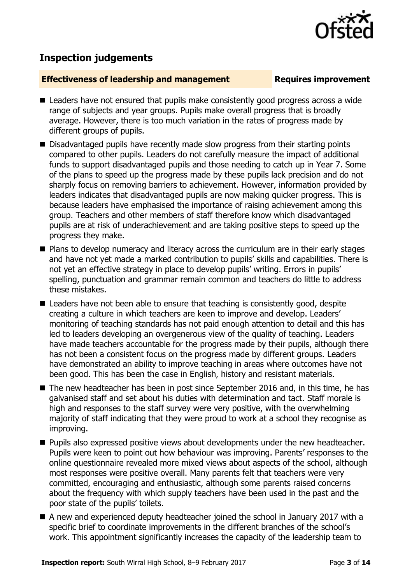# **Inspection judgements**

### **Effectiveness of leadership and management Requires improvement**

- Leaders have not ensured that pupils make consistently good progress across a wide range of subjects and year groups. Pupils make overall progress that is broadly average. However, there is too much variation in the rates of progress made by different groups of pupils.
- Disadvantaged pupils have recently made slow progress from their starting points compared to other pupils. Leaders do not carefully measure the impact of additional funds to support disadvantaged pupils and those needing to catch up in Year 7. Some of the plans to speed up the progress made by these pupils lack precision and do not sharply focus on removing barriers to achievement. However, information provided by leaders indicates that disadvantaged pupils are now making quicker progress. This is because leaders have emphasised the importance of raising achievement among this group. Teachers and other members of staff therefore know which disadvantaged pupils are at risk of underachievement and are taking positive steps to speed up the progress they make.
- **Plans to develop numeracy and literacy across the curriculum are in their early stages** and have not yet made a marked contribution to pupils' skills and capabilities. There is not yet an effective strategy in place to develop pupils' writing. Errors in pupils' spelling, punctuation and grammar remain common and teachers do little to address these mistakes.
- Leaders have not been able to ensure that teaching is consistently good, despite creating a culture in which teachers are keen to improve and develop. Leaders' monitoring of teaching standards has not paid enough attention to detail and this has led to leaders developing an overgenerous view of the quality of teaching. Leaders have made teachers accountable for the progress made by their pupils, although there has not been a consistent focus on the progress made by different groups. Leaders have demonstrated an ability to improve teaching in areas where outcomes have not been good. This has been the case in English, history and resistant materials.
- The new headteacher has been in post since September 2016 and, in this time, he has galvanised staff and set about his duties with determination and tact. Staff morale is high and responses to the staff survey were very positive, with the overwhelming majority of staff indicating that they were proud to work at a school they recognise as improving.
- **Pupils also expressed positive views about developments under the new headteacher.** Pupils were keen to point out how behaviour was improving. Parents' responses to the online questionnaire revealed more mixed views about aspects of the school, although most responses were positive overall. Many parents felt that teachers were very committed, encouraging and enthusiastic, although some parents raised concerns about the frequency with which supply teachers have been used in the past and the poor state of the pupils' toilets.
- A new and experienced deputy headteacher joined the school in January 2017 with a specific brief to coordinate improvements in the different branches of the school's work. This appointment significantly increases the capacity of the leadership team to

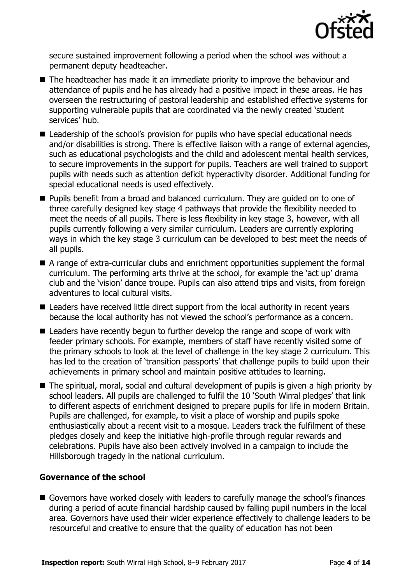

secure sustained improvement following a period when the school was without a permanent deputy headteacher.

- The headteacher has made it an immediate priority to improve the behaviour and attendance of pupils and he has already had a positive impact in these areas. He has overseen the restructuring of pastoral leadership and established effective systems for supporting vulnerable pupils that are coordinated via the newly created 'student services' hub.
- Leadership of the school's provision for pupils who have special educational needs and/or disabilities is strong. There is effective liaison with a range of external agencies, such as educational psychologists and the child and adolescent mental health services, to secure improvements in the support for pupils. Teachers are well trained to support pupils with needs such as attention deficit hyperactivity disorder. Additional funding for special educational needs is used effectively.
- Pupils benefit from a broad and balanced curriculum. They are guided on to one of three carefully designed key stage 4 pathways that provide the flexibility needed to meet the needs of all pupils. There is less flexibility in key stage 3, however, with all pupils currently following a very similar curriculum. Leaders are currently exploring ways in which the key stage 3 curriculum can be developed to best meet the needs of all pupils.
- A range of extra-curricular clubs and enrichment opportunities supplement the formal curriculum. The performing arts thrive at the school, for example the 'act up' drama club and the 'vision' dance troupe. Pupils can also attend trips and visits, from foreign adventures to local cultural visits.
- Leaders have received little direct support from the local authority in recent years because the local authority has not viewed the school's performance as a concern.
- Leaders have recently begun to further develop the range and scope of work with feeder primary schools. For example, members of staff have recently visited some of the primary schools to look at the level of challenge in the key stage 2 curriculum. This has led to the creation of 'transition passports' that challenge pupils to build upon their achievements in primary school and maintain positive attitudes to learning.
- The spiritual, moral, social and cultural development of pupils is given a high priority by school leaders. All pupils are challenged to fulfil the 10 'South Wirral pledges' that link to different aspects of enrichment designed to prepare pupils for life in modern Britain. Pupils are challenged, for example, to visit a place of worship and pupils spoke enthusiastically about a recent visit to a mosque. Leaders track the fulfilment of these pledges closely and keep the initiative high-profile through regular rewards and celebrations. Pupils have also been actively involved in a campaign to include the Hillsborough tragedy in the national curriculum.

### **Governance of the school**

Governors have worked closely with leaders to carefully manage the school's finances during a period of acute financial hardship caused by falling pupil numbers in the local area. Governors have used their wider experience effectively to challenge leaders to be resourceful and creative to ensure that the quality of education has not been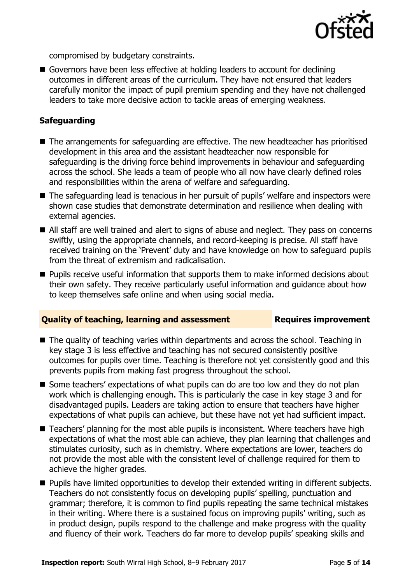

compromised by budgetary constraints.

Governors have been less effective at holding leaders to account for declining outcomes in different areas of the curriculum. They have not ensured that leaders carefully monitor the impact of pupil premium spending and they have not challenged leaders to take more decisive action to tackle areas of emerging weakness.

### **Safeguarding**

- The arrangements for safeguarding are effective. The new headteacher has prioritised development in this area and the assistant headteacher now responsible for safeguarding is the driving force behind improvements in behaviour and safeguarding across the school. She leads a team of people who all now have clearly defined roles and responsibilities within the arena of welfare and safeguarding.
- The safeguarding lead is tenacious in her pursuit of pupils' welfare and inspectors were shown case studies that demonstrate determination and resilience when dealing with external agencies.
- All staff are well trained and alert to signs of abuse and neglect. They pass on concerns swiftly, using the appropriate channels, and record-keeping is precise. All staff have received training on the 'Prevent' duty and have knowledge on how to safeguard pupils from the threat of extremism and radicalisation.
- **Pupils receive useful information that supports them to make informed decisions about** their own safety. They receive particularly useful information and guidance about how to keep themselves safe online and when using social media.

### **Quality of teaching, learning and assessment Requires improvement**

- The quality of teaching varies within departments and across the school. Teaching in key stage 3 is less effective and teaching has not secured consistently positive outcomes for pupils over time. Teaching is therefore not yet consistently good and this prevents pupils from making fast progress throughout the school.
- Some teachers' expectations of what pupils can do are too low and they do not plan work which is challenging enough. This is particularly the case in key stage 3 and for disadvantaged pupils. Leaders are taking action to ensure that teachers have higher expectations of what pupils can achieve, but these have not yet had sufficient impact.
- Teachers' planning for the most able pupils is inconsistent. Where teachers have high expectations of what the most able can achieve, they plan learning that challenges and stimulates curiosity, such as in chemistry. Where expectations are lower, teachers do not provide the most able with the consistent level of challenge required for them to achieve the higher grades.
- **Pupils have limited opportunities to develop their extended writing in different subjects.** Teachers do not consistently focus on developing pupils' spelling, punctuation and grammar; therefore, it is common to find pupils repeating the same technical mistakes in their writing. Where there is a sustained focus on improving pupils' writing, such as in product design, pupils respond to the challenge and make progress with the quality and fluency of their work. Teachers do far more to develop pupils' speaking skills and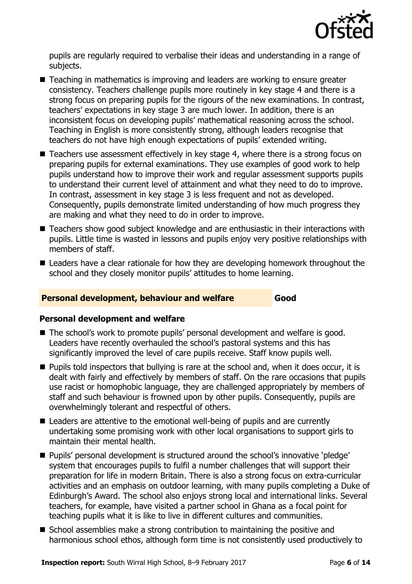

pupils are regularly required to verbalise their ideas and understanding in a range of subjects.

- Teaching in mathematics is improving and leaders are working to ensure greater consistency. Teachers challenge pupils more routinely in key stage 4 and there is a strong focus on preparing pupils for the rigours of the new examinations. In contrast, teachers' expectations in key stage 3 are much lower. In addition, there is an inconsistent focus on developing pupils' mathematical reasoning across the school. Teaching in English is more consistently strong, although leaders recognise that teachers do not have high enough expectations of pupils' extended writing.
- Teachers use assessment effectively in key stage 4, where there is a strong focus on preparing pupils for external examinations. They use examples of good work to help pupils understand how to improve their work and regular assessment supports pupils to understand their current level of attainment and what they need to do to improve. In contrast, assessment in key stage 3 is less frequent and not as developed. Consequently, pupils demonstrate limited understanding of how much progress they are making and what they need to do in order to improve.
- Teachers show good subject knowledge and are enthusiastic in their interactions with pupils. Little time is wasted in lessons and pupils enjoy very positive relationships with members of staff.
- Leaders have a clear rationale for how they are developing homework throughout the school and they closely monitor pupils' attitudes to home learning.

### **Personal development, behaviour and welfare Good**

### **Personal development and welfare**

- The school's work to promote pupils' personal development and welfare is good. Leaders have recently overhauled the school's pastoral systems and this has significantly improved the level of care pupils receive. Staff know pupils well.
- **Pupils told inspectors that bullying is rare at the school and, when it does occur, it is** dealt with fairly and effectively by members of staff. On the rare occasions that pupils use racist or homophobic language, they are challenged appropriately by members of staff and such behaviour is frowned upon by other pupils. Consequently, pupils are overwhelmingly tolerant and respectful of others.
- Leaders are attentive to the emotional well-being of pupils and are currently undertaking some promising work with other local organisations to support girls to maintain their mental health.
- Pupils' personal development is structured around the school's innovative 'pledge' system that encourages pupils to fulfil a number challenges that will support their preparation for life in modern Britain. There is also a strong focus on extra-curricular activities and an emphasis on outdoor learning, with many pupils completing a Duke of Edinburgh's Award. The school also enjoys strong local and international links. Several teachers, for example, have visited a partner school in Ghana as a focal point for teaching pupils what it is like to live in different cultures and communities.
- School assemblies make a strong contribution to maintaining the positive and harmonious school ethos, although form time is not consistently used productively to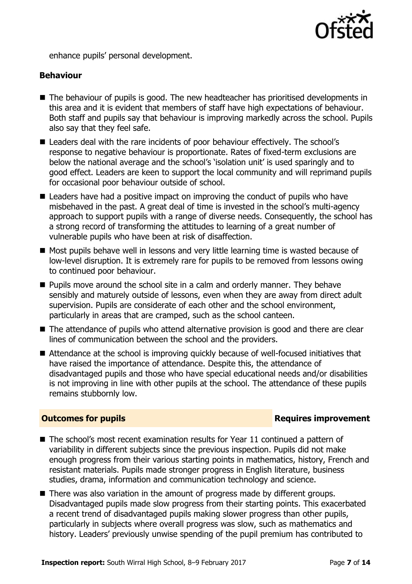

enhance pupils' personal development.

### **Behaviour**

- The behaviour of pupils is good. The new headteacher has prioritised developments in this area and it is evident that members of staff have high expectations of behaviour. Both staff and pupils say that behaviour is improving markedly across the school. Pupils also say that they feel safe.
- Leaders deal with the rare incidents of poor behaviour effectively. The school's response to negative behaviour is proportionate. Rates of fixed-term exclusions are below the national average and the school's 'isolation unit' is used sparingly and to good effect. Leaders are keen to support the local community and will reprimand pupils for occasional poor behaviour outside of school.
- Leaders have had a positive impact on improving the conduct of pupils who have misbehaved in the past. A great deal of time is invested in the school's multi-agency approach to support pupils with a range of diverse needs. Consequently, the school has a strong record of transforming the attitudes to learning of a great number of vulnerable pupils who have been at risk of disaffection.
- Most pupils behave well in lessons and very little learning time is wasted because of low-level disruption. It is extremely rare for pupils to be removed from lessons owing to continued poor behaviour.
- **Pupils move around the school site in a calm and orderly manner. They behave** sensibly and maturely outside of lessons, even when they are away from direct adult supervision. Pupils are considerate of each other and the school environment, particularly in areas that are cramped, such as the school canteen.
- The attendance of pupils who attend alternative provision is good and there are clear lines of communication between the school and the providers.
- Attendance at the school is improving quickly because of well-focused initiatives that have raised the importance of attendance. Despite this, the attendance of disadvantaged pupils and those who have special educational needs and/or disabilities is not improving in line with other pupils at the school. The attendance of these pupils remains stubbornly low.

### **Outcomes for pupils Requires improvement**

- The school's most recent examination results for Year 11 continued a pattern of variability in different subjects since the previous inspection. Pupils did not make enough progress from their various starting points in mathematics, history, French and resistant materials. Pupils made stronger progress in English literature, business studies, drama, information and communication technology and science.
- There was also variation in the amount of progress made by different groups. Disadvantaged pupils made slow progress from their starting points. This exacerbated a recent trend of disadvantaged pupils making slower progress than other pupils, particularly in subjects where overall progress was slow, such as mathematics and history. Leaders' previously unwise spending of the pupil premium has contributed to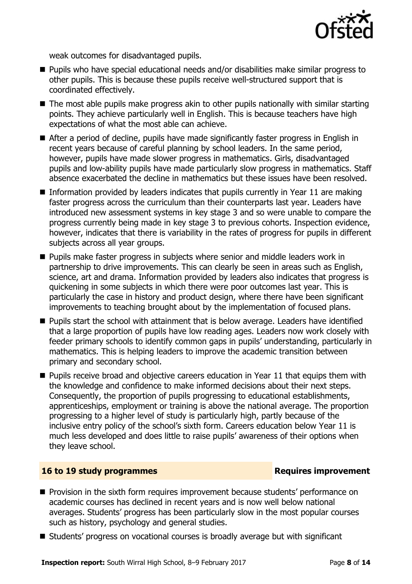

weak outcomes for disadvantaged pupils.

- Pupils who have special educational needs and/or disabilities make similar progress to other pupils. This is because these pupils receive well-structured support that is coordinated effectively.
- The most able pupils make progress akin to other pupils nationally with similar starting points. They achieve particularly well in English. This is because teachers have high expectations of what the most able can achieve.
- After a period of decline, pupils have made significantly faster progress in English in recent years because of careful planning by school leaders. In the same period, however, pupils have made slower progress in mathematics. Girls, disadvantaged pupils and low-ability pupils have made particularly slow progress in mathematics. Staff absence exacerbated the decline in mathematics but these issues have been resolved.
- Information provided by leaders indicates that pupils currently in Year 11 are making faster progress across the curriculum than their counterparts last year. Leaders have introduced new assessment systems in key stage 3 and so were unable to compare the progress currently being made in key stage 3 to previous cohorts. Inspection evidence, however, indicates that there is variability in the rates of progress for pupils in different subjects across all year groups.
- **Pupils make faster progress in subjects where senior and middle leaders work in** partnership to drive improvements. This can clearly be seen in areas such as English, science, art and drama. Information provided by leaders also indicates that progress is quickening in some subjects in which there were poor outcomes last year. This is particularly the case in history and product design, where there have been significant improvements to teaching brought about by the implementation of focused plans.
- Pupils start the school with attainment that is below average. Leaders have identified that a large proportion of pupils have low reading ages. Leaders now work closely with feeder primary schools to identify common gaps in pupils' understanding, particularly in mathematics. This is helping leaders to improve the academic transition between primary and secondary school.
- $\blacksquare$  Pupils receive broad and objective careers education in Year 11 that equips them with the knowledge and confidence to make informed decisions about their next steps. Consequently, the proportion of pupils progressing to educational establishments, apprenticeships, employment or training is above the national average. The proportion progressing to a higher level of study is particularly high, partly because of the inclusive entry policy of the school's sixth form. Careers education below Year 11 is much less developed and does little to raise pupils' awareness of their options when they leave school.

### **16 to 19 study programmes Requires improvement**

- **Provision in the sixth form requires improvement because students' performance on** academic courses has declined in recent years and is now well below national averages. Students' progress has been particularly slow in the most popular courses such as history, psychology and general studies.
- Students' progress on vocational courses is broadly average but with significant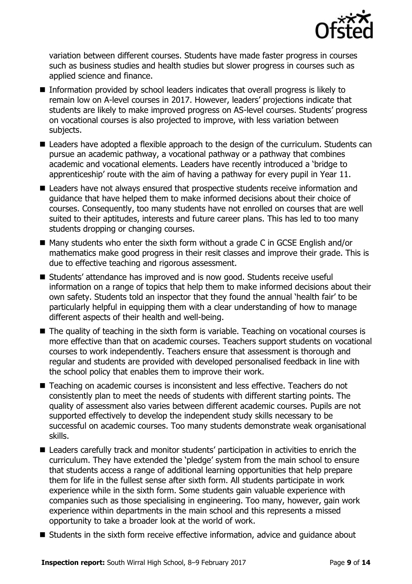

variation between different courses. Students have made faster progress in courses such as business studies and health studies but slower progress in courses such as applied science and finance.

- Information provided by school leaders indicates that overall progress is likely to remain low on A-level courses in 2017. However, leaders' projections indicate that students are likely to make improved progress on AS-level courses. Students' progress on vocational courses is also projected to improve, with less variation between subjects.
- Leaders have adopted a flexible approach to the design of the curriculum. Students can pursue an academic pathway, a vocational pathway or a pathway that combines academic and vocational elements. Leaders have recently introduced a 'bridge to apprenticeship' route with the aim of having a pathway for every pupil in Year 11.
- Leaders have not always ensured that prospective students receive information and guidance that have helped them to make informed decisions about their choice of courses. Consequently, too many students have not enrolled on courses that are well suited to their aptitudes, interests and future career plans. This has led to too many students dropping or changing courses.
- Many students who enter the sixth form without a grade C in GCSE English and/or mathematics make good progress in their resit classes and improve their grade. This is due to effective teaching and rigorous assessment.
- Students' attendance has improved and is now good. Students receive useful information on a range of topics that help them to make informed decisions about their own safety. Students told an inspector that they found the annual 'health fair' to be particularly helpful in equipping them with a clear understanding of how to manage different aspects of their health and well-being.
- The quality of teaching in the sixth form is variable. Teaching on vocational courses is more effective than that on academic courses. Teachers support students on vocational courses to work independently. Teachers ensure that assessment is thorough and regular and students are provided with developed personalised feedback in line with the school policy that enables them to improve their work.
- Teaching on academic courses is inconsistent and less effective. Teachers do not consistently plan to meet the needs of students with different starting points. The quality of assessment also varies between different academic courses. Pupils are not supported effectively to develop the independent study skills necessary to be successful on academic courses. Too many students demonstrate weak organisational skills.
- Leaders carefully track and monitor students' participation in activities to enrich the curriculum. They have extended the 'pledge' system from the main school to ensure that students access a range of additional learning opportunities that help prepare them for life in the fullest sense after sixth form. All students participate in work experience while in the sixth form. Some students gain valuable experience with companies such as those specialising in engineering. Too many, however, gain work experience within departments in the main school and this represents a missed opportunity to take a broader look at the world of work.
- Students in the sixth form receive effective information, advice and guidance about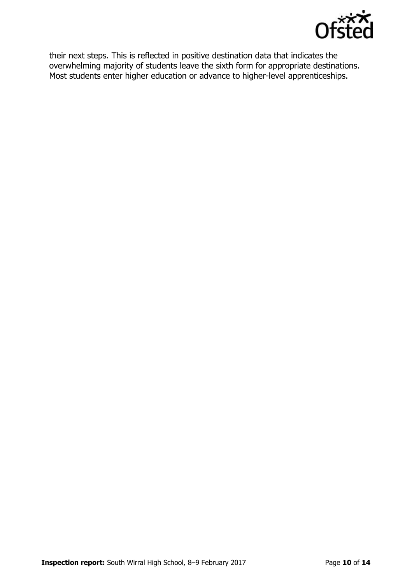

their next steps. This is reflected in positive destination data that indicates the overwhelming majority of students leave the sixth form for appropriate destinations. Most students enter higher education or advance to higher-level apprenticeships.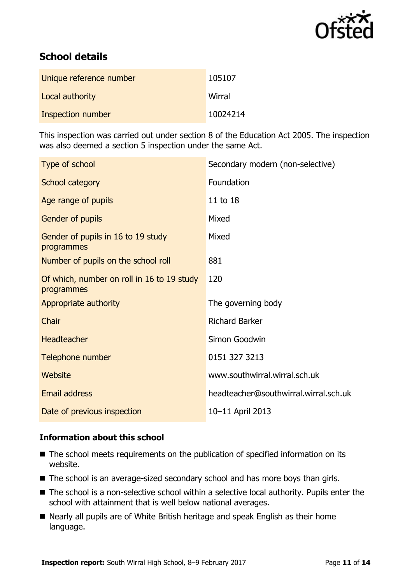

# **School details**

| Unique reference number | 105107   |
|-------------------------|----------|
| Local authority         | Wirral   |
| Inspection number       | 10024214 |

This inspection was carried out under section 8 of the Education Act 2005. The inspection was also deemed a section 5 inspection under the same Act.

| Type of school                                           | Secondary modern (non-selective)      |
|----------------------------------------------------------|---------------------------------------|
| School category                                          | Foundation                            |
| Age range of pupils                                      | 11 to 18                              |
| Gender of pupils                                         | Mixed                                 |
| Gender of pupils in 16 to 19 study<br>programmes         | Mixed                                 |
| Number of pupils on the school roll                      | 881                                   |
| Of which, number on roll in 16 to 19 study<br>programmes | 120                                   |
| Appropriate authority                                    | The governing body                    |
| Chair                                                    | <b>Richard Barker</b>                 |
| <b>Headteacher</b>                                       | Simon Goodwin                         |
| Telephone number                                         | 0151 327 3213                         |
| <b>Website</b>                                           | www.southwirral.wirral.sch.uk         |
| Email address                                            | headteacher@southwirral.wirral.sch.uk |
| Date of previous inspection                              | 10-11 April 2013                      |

### **Information about this school**

- The school meets requirements on the publication of specified information on its website.
- The school is an average-sized secondary school and has more boys than girls.
- The school is a non-selective school within a selective local authority. Pupils enter the school with attainment that is well below national averages.
- Nearly all pupils are of White British heritage and speak English as their home language.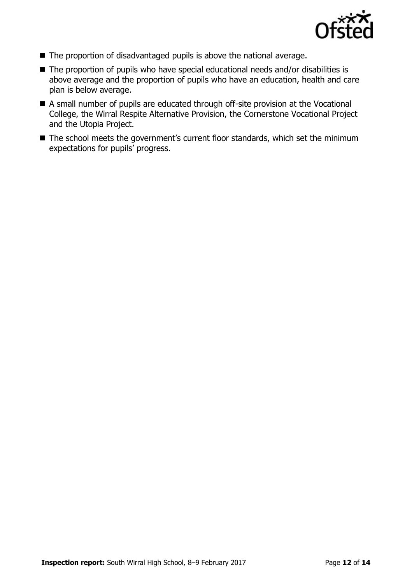

- The proportion of disadvantaged pupils is above the national average.
- The proportion of pupils who have special educational needs and/or disabilities is above average and the proportion of pupils who have an education, health and care plan is below average.
- A small number of pupils are educated through off-site provision at the Vocational College, the Wirral Respite Alternative Provision, the Cornerstone Vocational Project and the Utopia Project.
- The school meets the government's current floor standards, which set the minimum expectations for pupils' progress.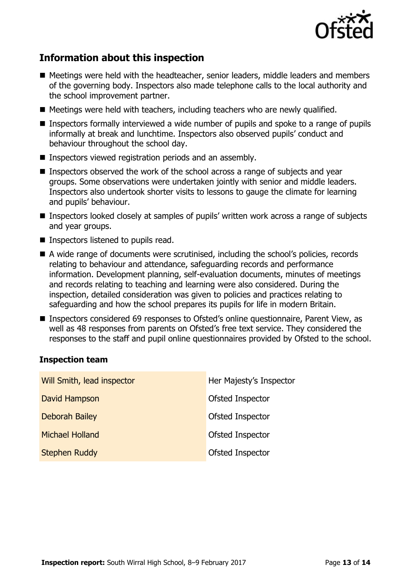

# **Information about this inspection**

- Meetings were held with the headteacher, senior leaders, middle leaders and members of the governing body. Inspectors also made telephone calls to the local authority and the school improvement partner.
- $\blacksquare$  Meetings were held with teachers, including teachers who are newly qualified.
- Inspectors formally interviewed a wide number of pupils and spoke to a range of pupils informally at break and lunchtime. Inspectors also observed pupils' conduct and behaviour throughout the school day.
- **Inspectors viewed registration periods and an assembly.**
- Inspectors observed the work of the school across a range of subjects and year groups. Some observations were undertaken jointly with senior and middle leaders. Inspectors also undertook shorter visits to lessons to gauge the climate for learning and pupils' behaviour.
- Inspectors looked closely at samples of pupils' written work across a range of subjects and year groups.
- Inspectors listened to pupils read.
- A wide range of documents were scrutinised, including the school's policies, records relating to behaviour and attendance, safeguarding records and performance information. Development planning, self-evaluation documents, minutes of meetings and records relating to teaching and learning were also considered. During the inspection, detailed consideration was given to policies and practices relating to safeguarding and how the school prepares its pupils for life in modern Britain.
- Inspectors considered 69 responses to Ofsted's online questionnaire, Parent View, as well as 48 responses from parents on Ofsted's free text service. They considered the responses to the staff and pupil online questionnaires provided by Ofsted to the school.

### **Inspection team**

| Will Smith, lead inspector | Her Majesty's Inspector |
|----------------------------|-------------------------|
| David Hampson              | Ofsted Inspector        |
| <b>Deborah Bailey</b>      | Ofsted Inspector        |
| <b>Michael Holland</b>     | Ofsted Inspector        |
| <b>Stephen Ruddy</b>       | Ofsted Inspector        |